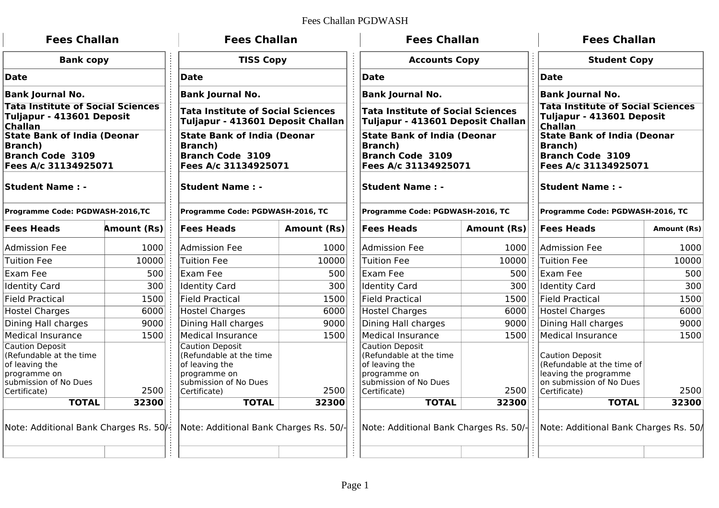## Fees Challan PGDWASH

| <b>Fees Challan</b><br><b>Bank copy</b><br>Date<br><b>Bank Journal No.</b><br><b>Tata Institute of Social Sciences</b><br>Tuljapur - 413601 Deposit<br><b>Challan</b> |             | <b>Fees Challan</b>                                                                                                          |                    | <b>Fees Challan</b>                                                                                                          |             | <b>Fees Challan</b><br><b>Student Copy</b><br><b>Date</b><br><b>Bank Journal No.</b><br><b>Tata Institute of Social Sciences</b><br>Tuljapur - 413601 Deposit<br><b>Challan</b> |             |  |
|-----------------------------------------------------------------------------------------------------------------------------------------------------------------------|-------------|------------------------------------------------------------------------------------------------------------------------------|--------------------|------------------------------------------------------------------------------------------------------------------------------|-------------|---------------------------------------------------------------------------------------------------------------------------------------------------------------------------------|-------------|--|
|                                                                                                                                                                       |             | <b>TISS Copy</b>                                                                                                             |                    | <b>Accounts Copy</b>                                                                                                         |             |                                                                                                                                                                                 |             |  |
|                                                                                                                                                                       |             | <b>Date</b>                                                                                                                  |                    | <b>Date</b>                                                                                                                  |             |                                                                                                                                                                                 |             |  |
|                                                                                                                                                                       |             | <b>Bank Journal No.</b>                                                                                                      |                    | <b>Bank Journal No.</b>                                                                                                      |             |                                                                                                                                                                                 |             |  |
|                                                                                                                                                                       |             | <b>Tata Institute of Social Sciences</b><br>Tuljapur - 413601 Deposit Challan                                                |                    | <b>Tata Institute of Social Sciences</b><br>Tuljapur - 413601 Deposit Challan                                                |             |                                                                                                                                                                                 |             |  |
| <b>State Bank of India (Deonar</b><br><b>Branch</b> )<br><b>Branch Code 3109</b><br>Fees A/c 31134925071                                                              |             | <b>State Bank of India (Deonar</b><br><b>Branch</b> )<br><b>Branch Code 3109</b><br>Fees A/c 31134925071                     |                    | <b>State Bank of India (Deonar</b><br><b>Branch</b> )<br><b>Branch Code 3109</b><br>Fees A/c 31134925071                     |             | <b>State Bank of India (Deonar</b><br><b>Branch</b> )<br><b>Branch Code 3109</b><br>Fees A/c 31134925071<br><b>Student Name: -</b><br>Programme Code: PGDWASH-2016, TC          |             |  |
| <b>Student Name : -</b>                                                                                                                                               |             | <b>Student Name: -</b>                                                                                                       |                    | <b>Student Name: -</b>                                                                                                       |             |                                                                                                                                                                                 |             |  |
| Programme Code: PGDWASH-2016,TC                                                                                                                                       |             | Programme Code: PGDWASH-2016, TC                                                                                             |                    | Programme Code: PGDWASH-2016, TC                                                                                             |             |                                                                                                                                                                                 |             |  |
| <b>Fees Heads</b>                                                                                                                                                     | Amount (Rs) | <b>Fees Heads</b>                                                                                                            | <b>Amount (Rs)</b> | <b>Fees Heads</b>                                                                                                            | Amount (Rs) | <b>Fees Heads</b>                                                                                                                                                               | Amount (Rs) |  |
| Admission Fee                                                                                                                                                         | 1000        | <b>Admission Fee</b>                                                                                                         | 1000               | <b>Admission Fee</b>                                                                                                         | 1000        | Admission Fee                                                                                                                                                                   | 1000        |  |
| Tuition Fee                                                                                                                                                           | 10000       | <b>Tuition Fee</b>                                                                                                           | 10000              | <b>Tuition Fee</b>                                                                                                           | 10000       | Tuition Fee                                                                                                                                                                     | 10000       |  |
| Exam Fee                                                                                                                                                              | 500         | Exam Fee                                                                                                                     | 500                | Exam Fee                                                                                                                     | 500         | Exam Fee                                                                                                                                                                        | 500         |  |
| <b>Identity Card</b>                                                                                                                                                  | 300         | <b>Identity Card</b>                                                                                                         | 300                | <b>Identity Card</b>                                                                                                         | 300         | <b>Identity Card</b>                                                                                                                                                            | 300         |  |
| <b>Field Practical</b>                                                                                                                                                | 1500        | <b>Field Practical</b>                                                                                                       | 1500               | <b>Field Practical</b>                                                                                                       | 1500        | <b>Field Practical</b>                                                                                                                                                          | 1500        |  |
| <b>Hostel Charges</b>                                                                                                                                                 | 6000        | <b>Hostel Charges</b>                                                                                                        | 6000               | <b>Hostel Charges</b>                                                                                                        | 6000        | <b>Hostel Charges</b>                                                                                                                                                           | 6000        |  |
| Dining Hall charges                                                                                                                                                   | 9000        | Dining Hall charges                                                                                                          | 9000               | Dining Hall charges                                                                                                          | 9000        | Dining Hall charges                                                                                                                                                             | 9000        |  |
| Medical Insurance                                                                                                                                                     | 1500        | <b>Medical Insurance</b>                                                                                                     | 1500               | <b>Medical Insurance</b>                                                                                                     | 1500        | <b>Medical Insurance</b>                                                                                                                                                        | 1500        |  |
| Caution Deposit<br>(Refundable at the time<br>of leaving the<br>programme on<br>submission of No Dues<br>Certificate)                                                 | 2500        | <b>Caution Deposit</b><br>(Refundable at the time<br>of leaving the<br>programme on<br>submission of No Dues<br>Certificate) | 2500               | <b>Caution Deposit</b><br>(Refundable at the time<br>of leaving the<br>programme on<br>submission of No Dues<br>Certificate) | 2500        | <b>Caution Deposit</b><br>(Refundable at the time of<br>leaving the programme<br>on submission of No Dues<br>Certificate)                                                       | 2500        |  |
| <b>TOTAL</b>                                                                                                                                                          | 32300       | <b>TOTAL</b>                                                                                                                 | 32300              | <b>TOTAL</b>                                                                                                                 | 32300       | <b>TOTAL</b>                                                                                                                                                                    | 32300       |  |
| Note: Additional Bank Charges Rs. 50/-                                                                                                                                |             | Note: Additional Bank Charges Rs. 50/-                                                                                       |                    |                                                                                                                              |             | Note: Additional Bank Charges Rs. 50/-     Note: Additional Bank Charges Rs. 50/                                                                                                |             |  |